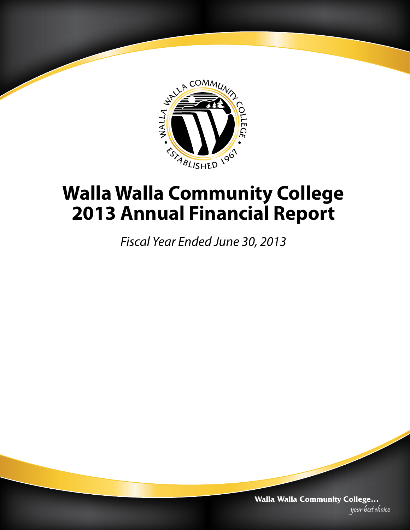

# **Walla Walla Community College 2013 Annual Financial Report**

*Fiscal Year Ended June 30, 2013*

**Walla Walla Community College…** your best choice.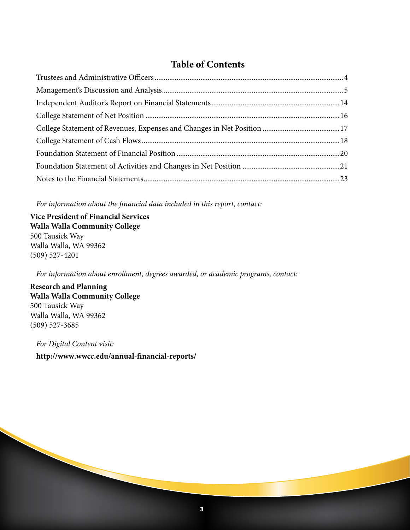### **Table of Contents**

*For information about the financial data included in this report, contact:*

**Vice President of Financial Services Walla Walla Community College**  500 Tausick Way Walla Walla, WA 99362 (509) 527-4201

*For information about enrollment, degrees awarded, or academic programs, contact:*

**Research and Planning Walla Walla Community College**  500 Tausick Way Walla Walla, WA 99362 (509) 527-3685

*For Digital Content visit:* **http://www.wwcc.edu/annual-financial-reports/**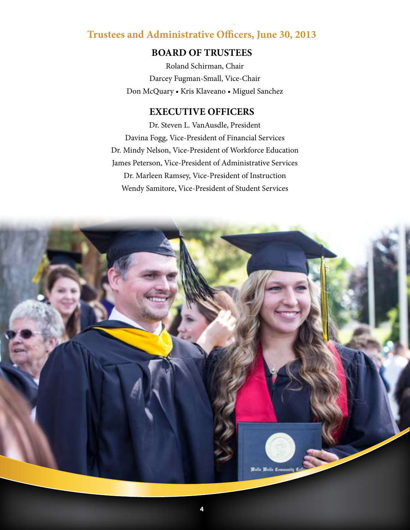### **Trustees and Administrative Officers, June 30, 2013**

### **BOARD OF TRUSTEES**

Roland Schirman, Chair Darcey Fugman-Small, Vice-Chair Don McQuary • Kris Klaveano • Miguel Sanchez

### **EXECUTIVE OFFICERS**

Dr. Steven L. VanAusdle, President Davina Fogg, Vice-President of Financial Services Dr. Mindy Nelson, Vice-President of Workforce Education James Peterson, Vice-President of Administrative Services Dr. Marleen Ramsey, Vice-President of Instruction Wendy Samitore, Vice-President of Student Services

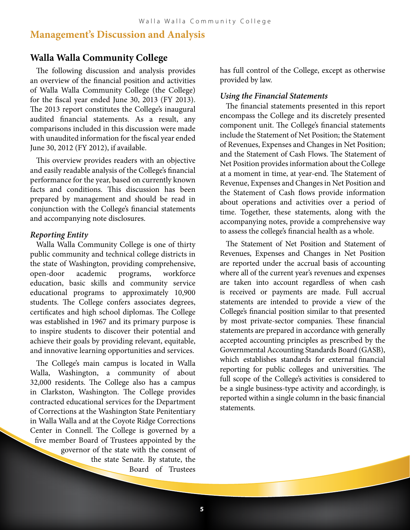### **Management's Discussion and Analysis**

#### **Walla Walla Community College**

The following discussion and analysis provides an overview of the financial position and activities of Walla Walla Community College (the College) for the fiscal year ended June 30, 2013 (FY 2013). The 2013 report constitutes the College's inaugural audited financial statements. As a result, any comparisons included in this discussion were made with unaudited information for the fiscal year ended June 30, 2012 (FY 2012), if available.

This overview provides readers with an objective and easily readable analysis of the College's financial performance for the year, based on currently known facts and conditions. This discussion has been prepared by management and should be read in conjunction with the College's financial statements and accompanying note disclosures.

#### *Reporting Entity*

Walla Walla Community College is one of thirty public community and technical college districts in the state of Washington, providing comprehensive, open-door academic programs, workforce education, basic skills and community service educational programs to approximately 10,900 students. The College confers associates degrees, certificates and high school diplomas. The College was established in 1967 and its primary purpose is to inspire students to discover their potential and achieve their goals by providing relevant, equitable, and innovative learning opportunities and services.

The College's main campus is located in Walla Walla, Washington, a community of about 32,000 residents. The College also has a campus in Clarkston, Washington. The College provides contracted educational services for the Department of Corrections at the Washington State Penitentiary in Walla Walla and at the Coyote Ridge Corrections Center in Connell. The College is governed by a five member Board of Trustees appointed by the governor of the state with the consent of the state Senate. By statute, the Board of Trustees

has full control of the College, except as otherwise provided by law.

#### *Using the Financial Statements*

The financial statements presented in this report encompass the College and its discretely presented component unit. The College's financial statements include the Statement of Net Position; the Statement of Revenues, Expenses and Changes in Net Position; and the Statement of Cash Flows. The Statement of Net Position provides information about the College at a moment in time, at year-end. The Statement of Revenue, Expenses and Changes in Net Position and the Statement of Cash flows provide information about operations and activities over a period of time. Together, these statements, along with the accompanying notes, provide a comprehensive way to assess the college's financial health as a whole.

The Statement of Net Position and Statement of Revenues, Expenses and Changes in Net Position are reported under the accrual basis of accounting where all of the current year's revenues and expenses are taken into account regardless of when cash is received or payments are made. Full accrual statements are intended to provide a view of the College's financial position similar to that presented by most private-sector companies. These financial statements are prepared in accordance with generally accepted accounting principles as prescribed by the Governmental Accounting Standards Board (GASB), which establishes standards for external financial reporting for public colleges and universities. The full scope of the College's activities is considered to be a single business-type activity and accordingly, is reported within a single column in the basic financial statements.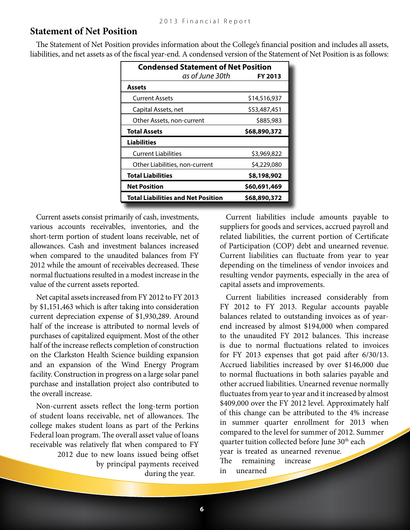#### **Statement of Net Position**

The Statement of Net Position provides information about the College's financial position and includes all assets, liabilities, and net assets as of the fiscal year-end. A condensed version of the Statement of Net Position is as follows:

| <b>Condensed Statement of Net Position</b> |                 |              |
|--------------------------------------------|-----------------|--------------|
|                                            | as of June 30th | FY 2013      |
| Assets                                     |                 |              |
| <b>Current Assets</b>                      |                 | \$14,516,937 |
| Capital Assets, net                        |                 | \$53,487,451 |
| Other Assets, non-current                  |                 | \$885,983    |
| <b>Total Assets</b>                        |                 | \$68,890,372 |
| <b>Liabilities</b>                         |                 |              |
| <b>Current Liabilities</b>                 |                 | \$3,969,822  |
| Other Liabilities, non-current             |                 | \$4,229,080  |
| Total Liabilities                          |                 | \$8,198,902  |
| <b>Net Position</b>                        |                 | \$60,691,469 |
| <b>Total Liabilities and Net Position</b>  |                 | \$68,890,372 |

Current assets consist primarily of cash, investments, various accounts receivables, inventories, and the short-term portion of student loans receivable, net of allowances. Cash and investment balances increased when compared to the unaudited balances from FY 2012 while the amount of receivables decreased. These normal fluctuations resulted in a modest increase in the value of the current assets reported.

Net capital assets increased from FY 2012 to FY 2013 by \$1,151,463 which is after taking into consideration current depreciation expense of \$1,930,289. Around half of the increase is attributed to normal levels of purchases of capitalized equipment. Most of the other half of the increase reflects completion of construction on the Clarkston Health Science building expansion and an expansion of the Wind Energy Program facility. Construction in progress on a large solar panel purchase and installation project also contributed to the overall increase.

Non-current assets reflect the long-term portion of student loans receivable, net of allowances. The college makes student loans as part of the Perkins Federal loan program. The overall asset value of loans receivable was relatively flat when compared to FY 2012 due to new loans issued being offset by principal payments received during the year.

Current liabilities include amounts payable to suppliers for goods and services, accrued payroll and related liabilities, the current portion of Certificate of Participation (COP) debt and unearned revenue. Current liabilities can fluctuate from year to year depending on the timeliness of vendor invoices and resulting vendor payments, especially in the area of capital assets and improvements.

Current liabilities increased considerably from FY 2012 to FY 2013. Regular accounts payable balances related to outstanding invoices as of yearend increased by almost \$194,000 when compared to the unaudited FY 2012 balances. This increase is due to normal fluctuations related to invoices for FY 2013 expenses that got paid after 6/30/13. Accrued liabilities increased by over \$146,000 due to normal fluctuations in both salaries payable and other accrued liabilities. Unearned revenue normally fluctuates from year to year and it increased by almost \$409,000 over the FY 2012 level. Approximately half of this change can be attributed to the 4% increase in summer quarter enrollment for 2013 when compared to the level for summer of 2012. Summer quarter tuition collected before June 30<sup>th</sup> each year is treated as unearned revenue. The remaining increase in unearned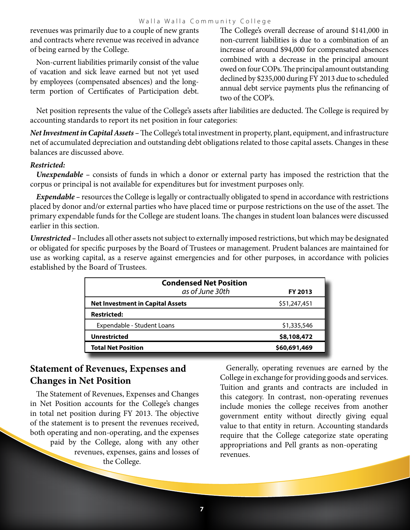revenues was primarily due to a couple of new grants and contracts where revenue was received in advance of being earned by the College.

Non-current liabilities primarily consist of the value of vacation and sick leave earned but not yet used by employees (compensated absences) and the longterm portion of Certificates of Participation debt. The College's overall decrease of around \$141,000 in non-current liabilities is due to a combination of an increase of around \$94,000 for compensated absences combined with a decrease in the principal amount owed on four COPs. The principal amount outstanding declined by \$235,000 during FY 2013 due to scheduled annual debt service payments plus the refinancing of two of the COP's.

Net position represents the value of the College's assets after liabilities are deducted. The College is required by accounting standards to report its net position in four categories:

*Net Investment in Capital Assets –* The College's total investment in property, plant, equipment, and infrastructure net of accumulated depreciation and outstanding debt obligations related to those capital assets. Changes in these balances are discussed above.

#### *Restricted:*

*Unexpendable –* consists of funds in which a donor or external party has imposed the restriction that the corpus or principal is not available for expenditures but for investment purposes only.

*Expendable –* resources the College is legally or contractually obligated to spend in accordance with restrictions placed by donor and/or external parties who have placed time or purpose restrictions on the use of the asset. The primary expendable funds for the College are student loans. The changes in student loan balances were discussed earlier in this section.

*Unrestricted –* Includes all other assets not subject to externally imposed restrictions, but which may be designated or obligated for specific purposes by the Board of Trustees or management. Prudent balances are maintained for use as working capital, as a reserve against emergencies and for other purposes, in accordance with policies established by the Board of Trustees.

| FY 2013      |
|--------------|
| \$51,247,451 |
|              |
| \$1,335,546  |
| \$8,108,472  |
| \$60,691,469 |
|              |

### **Statement of Revenues, Expenses and Changes in Net Position**

The Statement of Revenues, Expenses and Changes in Net Position accounts for the College's changes in total net position during FY 2013. The objective of the statement is to present the revenues received, both operating and non-operating, and the expenses paid by the College, along with any other revenues, expenses, gains and losses of the College.

Generally, operating revenues are earned by the College in exchange for providing goods and services. Tuition and grants and contracts are included in this category. In contrast, non-operating revenues include monies the college receives from another government entity without directly giving equal value to that entity in return. Accounting standards require that the College categorize state operating appropriations and Pell grants as non-operating revenues.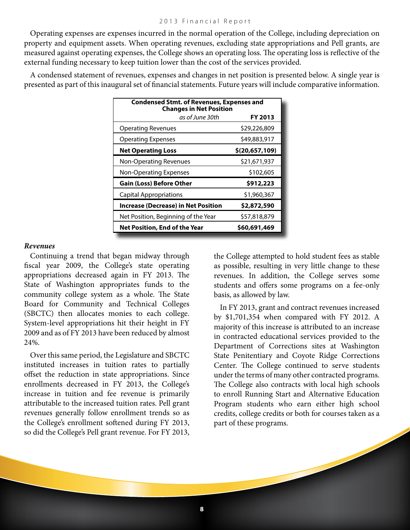Operating expenses are expenses incurred in the normal operation of the College, including depreciation on property and equipment assets. When operating revenues, excluding state appropriations and Pell grants, are measured against operating expenses, the College shows an operating loss. The operating loss is reflective of the external funding necessary to keep tuition lower than the cost of the services provided.

A condensed statement of revenues, expenses and changes in net position is presented below. A single year is presented as part of this inaugural set of financial statements. Future years will include comparative information.

| <b>Condensed Stmt. of Revenues, Expenses and</b><br><b>Changes in Net Position</b> |                |
|------------------------------------------------------------------------------------|----------------|
| as of June 30th                                                                    | FY 2013        |
| <b>Operating Revenues</b>                                                          | \$29,226,809   |
| <b>Operating Expenses</b>                                                          | \$49,883,917   |
| <b>Net Operating Loss</b>                                                          | \$(20,657,109) |
| <b>Non-Operating Revenues</b>                                                      | \$21,671,937   |
| Non-Operating Expenses                                                             | \$102,605      |
| <b>Gain (Loss) Before Other</b>                                                    | \$912,223      |
| <b>Capital Appropriations</b>                                                      | \$1,960,367    |
| <b>Increase (Decrease) in Net Position</b>                                         | \$2,872,590    |
| Net Position, Beginning of the Year                                                | \$57,818,879   |
| Net Position, End of the Year<br>\$60,691,469                                      |                |

#### *Revenues*

Continuing a trend that began midway through fiscal year 2009, the College's state operating appropriations decreased again in FY 2013. The State of Washington appropriates funds to the community college system as a whole. The State Board for Community and Technical Colleges (SBCTC) then allocates monies to each college. System-level appropriations hit their height in FY 2009 and as of FY 2013 have been reduced by almost 24%.

Over this same period, the Legislature and SBCTC instituted increases in tuition rates to partially offset the reduction in state appropriations. Since enrollments decreased in FY 2013, the College's increase in tuition and fee revenue is primarily attributable to the increased tuition rates. Pell grant revenues generally follow enrollment trends so as the College's enrollment softened during FY 2013, so did the College's Pell grant revenue. For FY 2013,

the College attempted to hold student fees as stable as possible, resulting in very little change to these revenues. In addition, the College serves some students and offers some programs on a fee-only basis, as allowed by law.

In FY 2013, grant and contract revenues increased by \$1,701,354 when compared with FY 2012. A majority of this increase is attributed to an increase in contracted educational services provided to the Department of Corrections sites at Washington State Penitentiary and Coyote Ridge Corrections Center. The College continued to serve students under the terms of many other contracted programs. The College also contracts with local high schools to enroll Running Start and Alternative Education Program students who earn either high school credits, college credits or both for courses taken as a part of these programs.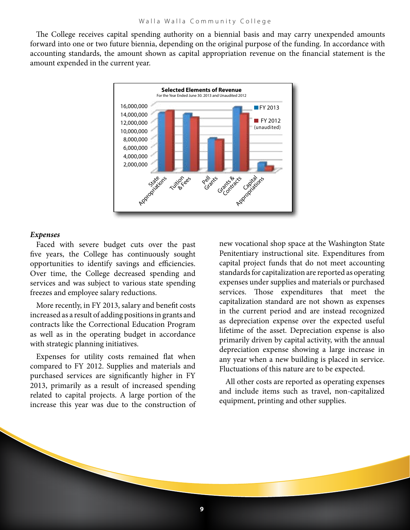The College receives capital spending authority on a biennial basis and may carry unexpended amounts forward into one or two future biennia, depending on the original purpose of the funding. In accordance with accounting standards, the amount shown as capital appropriation revenue on the financial statement is the amount expended in the current year.



#### *Expenses*

Faced with severe budget cuts over the past five years, the College has continuously sought opportunities to identify savings and efficiencies. Over time, the College decreased spending and services and was subject to various state spending freezes and employee salary reductions.

More recently, in FY 2013, salary and benefit costs increased as a result of adding positions in grants and contracts like the Correctional Education Program as well as in the operating budget in accordance with strategic planning initiatives.

Expenses for utility costs remained flat when compared to FY 2012. Supplies and materials and purchased services are significantly higher in FY 2013, primarily as a result of increased spending related to capital projects. A large portion of the increase this year was due to the construction of new vocational shop space at the Washington State Penitentiary instructional site. Expenditures from capital project funds that do not meet accounting standards for capitalization are reported as operating expenses under supplies and materials or purchased services. Those expenditures that meet the capitalization standard are not shown as expenses in the current period and are instead recognized as depreciation expense over the expected useful lifetime of the asset. Depreciation expense is also primarily driven by capital activity, with the annual depreciation expense showing a large increase in any year when a new building is placed in service. Fluctuations of this nature are to be expected.

All other costs are reported as operating expenses and include items such as travel, non-capitalized equipment, printing and other supplies.

**9**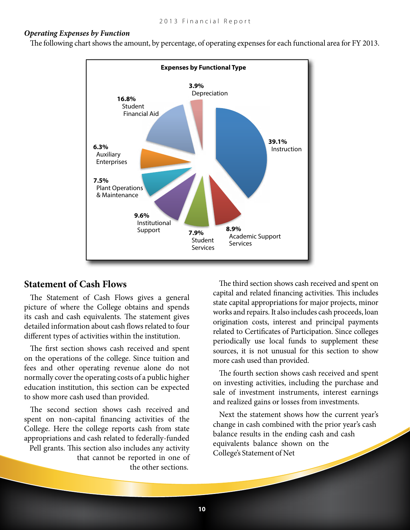#### *Operating Expenses by Function*

The following chart shows the amount, by percentage, of operating expenses for each functional area for FY 2013.



#### **Statement of Cash Flows**

The Statement of Cash Flows gives a general picture of where the College obtains and spends its cash and cash equivalents. The statement gives detailed information about cash flows related to four different types of activities within the institution.

The first section shows cash received and spent on the operations of the college. Since tuition and fees and other operating revenue alone do not normally cover the operating costs of a public higher education institution, this section can be expected to show more cash used than provided.

The second section shows cash received and spent on non-capital financing activities of the College. Here the college reports cash from state appropriations and cash related to federally-funded Pell grants. This section also includes any activity that cannot be reported in one of the other sections.

The third section shows cash received and spent on capital and related financing activities. This includes state capital appropriations for major projects, minor works and repairs. It also includes cash proceeds, loan origination costs, interest and principal payments related to Certificates of Participation. Since colleges periodically use local funds to supplement these sources, it is not unusual for this section to show more cash used than provided.

The fourth section shows cash received and spent on investing activities, including the purchase and sale of investment instruments, interest earnings and realized gains or losses from investments.

Next the statement shows how the current year's change in cash combined with the prior year's cash balance results in the ending cash and cash equivalents balance shown on the College's Statement of Net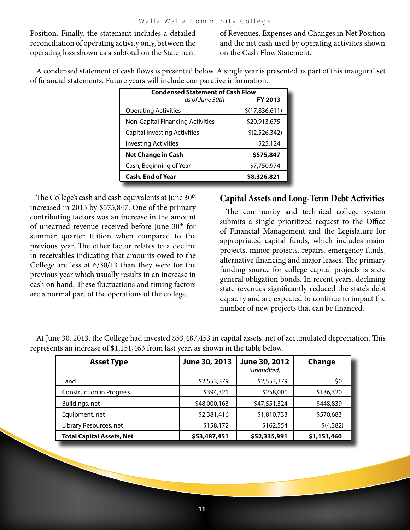Position. Finally, the statement includes a detailed reconciliation of operating activity only, between the operating loss shown as a subtotal on the Statement of Revenues, Expenses and Changes in Net Position and the net cash used by operating activities shown on the Cash Flow Statement.

A condensed statement of cash flows is presented below. A single year is presented as part of this inaugural set of financial statements. Future years will include comparative information.

| <b>Condensed Statement of Cash Flow</b><br>as of June 30th<br>FY 2013 |                |
|-----------------------------------------------------------------------|----------------|
| <b>Operating Activities</b>                                           | \$(17,836,611) |
| Non-Capital Financing Activities                                      | \$20,913,675   |
| Capital Investing Activities                                          | \$(2,526,342)  |
| <b>Investing Activities</b>                                           | \$25,124       |
| <b>Net Change in Cash</b>                                             | \$575,847      |
| Cash, Beginning of Year                                               | \$7,750,974    |
| <b>Cash, End of Year</b>                                              | \$8,326,821    |

The College's cash and cash equivalents at June 30<sup>th</sup> increased in 2013 by \$575,847. One of the primary contributing factors was an increase in the amount of unearned revenue received before June 30<sup>th</sup> for summer quarter tuition when compared to the previous year. The other factor relates to a decline in receivables indicating that amounts owed to the College are less at 6/30/13 than they were for the previous year which usually results in an increase in cash on hand. These fluctuations and timing factors are a normal part of the operations of the college.

### **Capital Assets and Long-Term Debt Activities**

The community and technical college system submits a single prioritized request to the Office of Financial Management and the Legislature for appropriated capital funds, which includes major projects, minor projects, repairs, emergency funds, alternative financing and major leases. The primary funding source for college capital projects is state general obligation bonds. In recent years, declining state revenues significantly reduced the state's debt capacity and are expected to continue to impact the number of new projects that can be financed.

| <b>Asset Type</b>                | June 30, 2013 | June 30, 2012<br>(unaudited) | Change      |
|----------------------------------|---------------|------------------------------|-------------|
| Land                             | \$2,553,379   | \$2,553,379                  | \$0         |
| <b>Construction in Progress</b>  | \$394,321     | \$258,001                    | \$136,320   |
| Buildings, net                   | \$48,000,163  | \$47,551,324                 | \$448,839   |
| Equipment, net                   | \$2,381,416   | \$1,810,733                  | \$570,683   |
| Library Resources, net           | \$158,172     | \$162,554                    | \$(4,382)   |
| <b>Total Capital Assets, Net</b> | \$53,487,451  | \$52,335,991                 | \$1,151,460 |

At June 30, 2013, the College had invested \$53,487,453 in capital assets, net of accumulated depreciation. This represents an increase of \$1,151,463 from last year, as shown in the table below.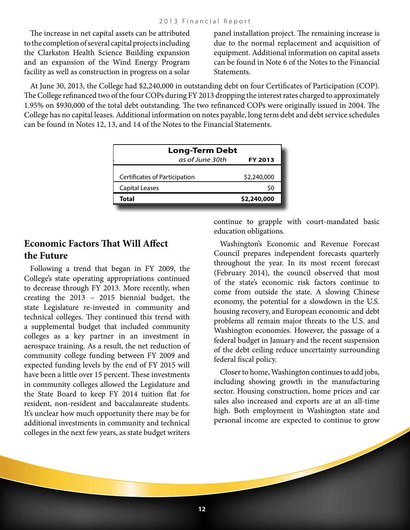The increase in net capital assets can be attributed to the completion of several capital projects including the Clarkston Health Science Building expansion and an expansion of the Wind Energy Program facility as well as construction in progress on a solar panel installation project. The remaining increase is due to the normal replacement and acquisition of equipment. Additional information on capital assets can be found in Note 6 of the Notes to the Financial Statements.

At June 30, 2013, the College had \$2,240,000 in outstanding debt on four Certificates of Participation (COP). The College refinanced two of the four COPs during FY 2013 dropping the interest rates charged to approximately 1.95% on \$930,000 of the total debt outstanding. The two refinanced COPs were originally issued in 2004. The College has no capital leases. Additional information on notes payable, long term debt and debt service schedules can be found in Notes 12, 13, and 14 of the Notes to the Financial Statements.

| <b>Long-Term Debt</b>         |             |
|-------------------------------|-------------|
| as of June 30th               | FY 2013     |
| Certificates of Participation | \$2,240,000 |
| <b>Capital Leases</b>         | \$0         |
| <b>Total</b>                  | \$2,240,000 |

### **Economic Factors That Will Affect the Future**

Following a trend that began in FY 2009, the College's state operating appropriations continued to decrease through FY 2013. More recently, when creating the 2013 – 2015 biennial budget, the state Legislature re-invested in community and technical colleges. They continued this trend with a supplemental budget that included community colleges as a key partner in an investment in aerospace training. As a result, the net reduction of community college funding between FY 2009 and expected funding levels by the end of FY 2015 will have been a little over 15 percent. These investments in community colleges allowed the Legislature and the State Board to keep FY 2014 tuition flat for resident, non-resident and baccalaureate students. It's unclear how much opportunity there may be for additional investments in community and technical colleges in the next few years, as state budget writers continue to grapple with court-mandated basic education obligations.

Washington's Economic and Revenue Forecast Council prepares independent forecasts quarterly throughout the year. In its most recent forecast (February 2014), the council observed that most of the state's economic risk factors continue to come from outside the state. A slowing Chinese economy, the potential for a slowdown in the U.S. housing recovery, and European economic and debt problems all remain major threats to the U.S. and Washington economies. However, the passage of a federal budget in January and the recent suspension of the debt ceiling reduce uncertainty surrounding federal fiscal policy.

Closer to home, Washington continues to add jobs, including showing growth in the manufacturing sector. Housing construction, home prices and car sales also increased and exports are at an all-time high. Both employment in Washington state and personal income are expected to continue to grow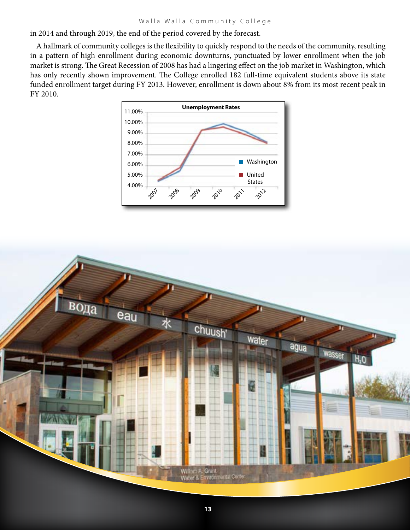in 2014 and through 2019, the end of the period covered by the forecast.

A hallmark of community colleges is the flexibility to quickly respond to the needs of the community, resulting in a pattern of high enrollment during economic downturns, punctuated by lower enrollment when the job market is strong. The Great Recession of 2008 has had a lingering effect on the job market in Washington, which has only recently shown improvement. The College enrolled 182 full-time equivalent students above its state funded enrollment target during FY 2013. However, enrollment is down about 8% from its most recent peak in FY 2010.



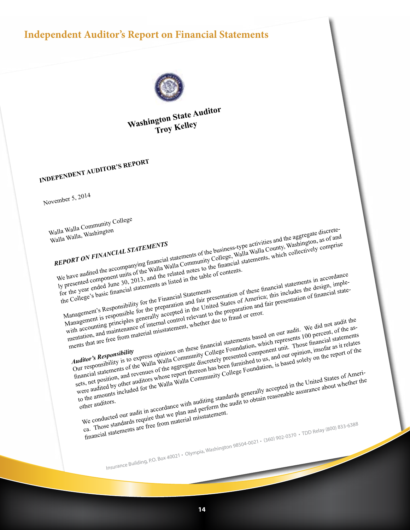### **Independent Auditor's Report on Financial Statements**



**Washington State Auditor Troy Kelley**

**INDEPENDENT AUDITOR'S REPORT**

November 5, 2014

Walla Walla Community College Walla Walla, Washington *REPORT ON FINANCIAL STATEMENTS* We have audited the accompanying financial statements of the business-type activities and the aggregate discrete-<br>We have audited the accompanying financial statements of the business-type activities and the aggregate disc We nave audited the accompanying mancial statements of the business-type activities and the aggregate discrete-<br>we nave audited the accompanying mancial walla Community College, Walla Walla County, Washington, as of and<br>th Iy presented component units of the walla walla Community College, walla walla County, wasnington, as of and<br>the year ended June 30, 2013, and the related notes to the financial statements, which collectively comprise<br>for  $t_{\text{tot}}$  and  $t_{\text{tot}}$  and  $t_{\text{tot}}$  is taken in the table of contents.<br>the College's basic financial statements as listed in the table of contents. or the year of basic financial statements<br>he College's basic financial statements<br>Management's Responsible for the preparation and fair pl<br>Management's responsible for the preparation is the Unit Responsibility for the Financial Statements<br>
Management's Responsibility for the Financial Statements<br>
Management's Responsibility for the Financial Statements<br>
Management's Responsibility for the preparation and fair pre wanagement is responsible for the preparation and rate presentation of these imancial statements in accordance<br>with accounting principles generally accepted in the United States of America; this includes the design, implewith accounting principles generally accepted in the United States of America, this includes the design, imple-<br>with accounting principles generally accepted in the United States of America, and fair presentation of financ menture and manufacture of internal control experience of the preparation and the ments that are free from material misstatement, whether due to fraud or error. *Auditor's Responsibility* magement is to express of internal control reference to trade of the did not audit the<br>the accounting principles general control reference of internal control reference to the as-<br>ents that are free from material misstatem Our responsibility is to express opinions on these imancial statements pased on our audit. We did not not not the as-<br>College Foundation, which represents 100 percent, of the as-<br>financial statements of the Walla Walla Com mancial statements of the walla walla Community College Foundation, which represents four percent, of the as-<br>mancial statements of the walla walla Community College Foundation, which this financial statements<br>sets, net po sets, net position, and revenues of the auggregate discretely presented component unit. Those miancial statements<br>sets, net position, and revenues of the auggregate discretely presented component unit. Those monitor insofa were auated by other auators whose report thereon has been furnished to us, and our opinion, insorat as it relates<br>to the amounts included for the Walla Walla Community College Foundation, is based solely on the report of other auditors. Solutions, and the United States of America, and the Valla Walla Community College Poulties.<br>
Solution, and revenues whose report thereon in the Community College Poulties.<br>
The anounts included for the Walla Walla Communi we conqueted our aught in accordance with aughting standards generally accepted in the United States of Ameri-<br>we conqueted our aught in accordance with aughting standards generally accepted in the United States of whether financial statements are free from material misstatement. Insurance Building, P.O. Box 40021 • Olympia, Washington 98504-0021 • (360) 902-0370 • TDD Relay (800) 833-6388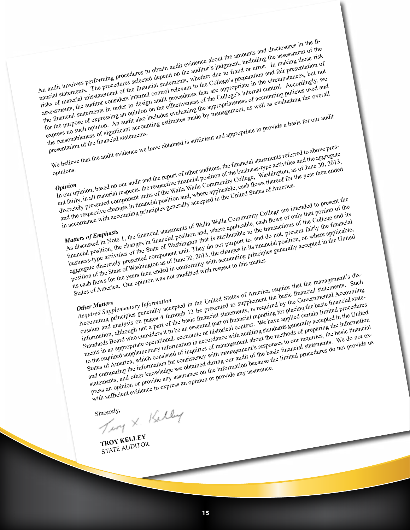An audit involves performing procedures to obtain audit evidence about the amounts and disclosures in the fi-<br>An audit involves performing procedures to obtain audit evidence about the amounts and disclosures in the fi-An audit involves performing procedures to obtain audit evidence about the amounts and disclosures in the fi-<br>An audit involves performing procedures selected depend on the auditor's judgment, including the assessment of t risks of material misstatement of the financial statements, whether due to fraud or error. In making those risk<br>risks of material misstatement of the financial statements, whether due to fraud or error. In making containin ISSN OF MARTING INTERNATION THIS IMPORTANT AT A THE RESERVE OF THE MARTING COLLEGE'S preparation and fair presentation of the auditor considers internal control relevant to the College's preparation and fair presentation o assessments, the auditor considers internal control relevant to the College's preparation and fair presentation of the circumstances, but not assessments, the auditor considers internal control of the College's internal co for the purpose of expressing and option on the effectiveness of the College's internal control. Accordingly, we<br>the purpose of expressing an opinion on the effectiveness of the College's internal control. Accordingly, we<br> for the purpose of eignificant accounting estimates of the express of accounting policies used and<br>express no such opinion. An audit also includes evaluating the appropriateness of accounting policies used and<br>express no s express no such opinion. An audit also includes evaluating the appropriateness of accounting policies used and<br>express no such opinion. An audit also includes evaluating the overall<br>the reasonableness of significant accoun express no contract the reasonableness of signments.<br>the reasonableness of the financial statements. Framedial statements of expressing an optimal also includes cytaric made by manners.<br>
The purpose of expression of the financial statements.<br>
The reasonableness of significant accounting estimates made by manners<br>
integra opinions. *Opinion* Sentation of the audit evidence we have obtained<br>
in the politics and the aggregate<br>
pinions.<br> **Opinion**<br> **Opinion**, based on our audit and the report of other auditors, the financial statements referred to above pres-<br>
pi In our opinion, based on our audit and the report of other auditors, the nancial statements referred to above pres-<br>and the aggregate of the spectral respective financial position of the business-type activities and the a ent tatrly, in all material respects, the respective infancial position of the business-type activities and the aggregate<br>ent tarity, in all material respects, the respective infancial Walla Community College, Washington, and the respective changes in financial position and, where applicable, cash flows thereof for the year then ended<br>and the respective changes in financial position and, where applicable, cash flows thereof for the year the and the respective changes in minimizial position and, where applicable, cash hows thereon to the in accordance with accounting principles generally accepted in the United States of America.<br>In accordance with accounting p *Matters of Emphasis* Fairly, in an mated component uncertainty accepted in the Changes in the secondance with accounting principles generally accepted in the College are intended to present the d the respective changes in financial position an As discussed in Note 1, the financial statements of walla walla Community College are intended to present the the changes in financial position and, where applicable, cash flows of only that portion and its discussed in N mancial position, the changes in mancial position and, where applicable, cash nows or only that portion of the<br>mancial position, the changes in mancial position that is attributable to the transactions of the College and i business-type activities of the State of Washington that is attributable to the transactions of the College and its<br>business-type activities of the State of Washington that is attributable to, and do not, present fairly th aggregate discretely presented component unit. They do not purport to, and do not, present fairly the mancial<br>aggregate discretely presented component unit. They do not purport to, and do not, present airly there applicabl position of the years then ended in conformity with accounting principles generally accepted in the United<br>its cash flows for the years then ended in conformity with accounting principles generally accepted in the United<br> States of America. Our opinion was not modified with respect to this matter.<br>States of America. Our opinion was not modified with respect to this matter.<br>Other Matters<br>Required Supplementary Information. *Other Matters Required Supplementary Information* Sition of the Surface of the years then the<br>cash flows for the years then the<br>cash flows for the years then the was not modified we<br>account accepted in the United States of America require that the managements. Such<br>**Princ** Other Matters<br>
Other Matters<br>
Required Supplementary Information<br>
Required Supplementary Information<br>
Required Supplementary Information<br>
Required Supplementary accepted in the United States of America require that the man cussion and analysis on pages 4 unough 13 be presented to supplement the basic financial statements. Such<br>cussion and analysis on pages 4 unough 13 be presented to supplement the basic financial statements<br>information, alt Information, although not a part of the basic financial statements, is required by the dovernmental Accounting<br>Information, although not a part of the basic financial reporting for placing the basic financial state-<br>Standa Mandards Board who considers it to be an essential part of imancial reporting for piacing the basic imancial state-<br>Standards board who considers it to be an essential part of imancial context. We have applied certain limi ments in an appropriate operational, economic or instortcal context. We have applied certain limited procedures<br>to the required supplementary information in accordance with auditing standards generally accepted in the Unit to the required supplementary information in accordance with auditing standards generally accepted in the United<br>to the required supplementary information in accordance with management's responses to our inquiries, the bos States of America, which consisted of inquiries of management about the methods of preparing the basic financial<br>States of America, which consisted of inquiries of management's responses to our inquiries, the basic financi and comparing the information for consistency with management's responses to our inquiries, the basic financial statements. We do not ex-<br>and comparing the information for consistency with management's responses to our inq statements, and other knowledge we obtained during our audit of the basic mancial statements. We do not provide us<br>statements, and other knowledge we obtained on the information because the limited procedures do not provid with sufficient evidence to express an opinion or provide any assurance. Sincerely, X. Kelly **TROY KELLEY**

STATE AUDITOR

**15 15**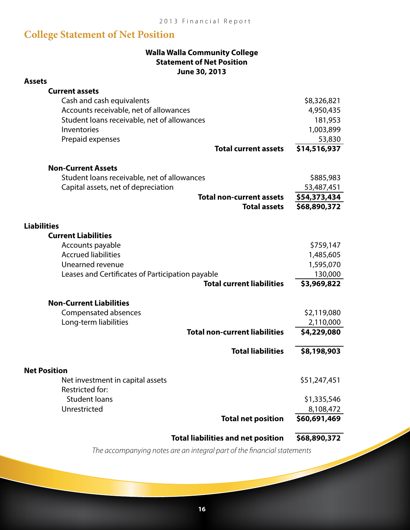### **College Statement of Net Position**

#### **Walla Walla Community College Statement of Net Position June 30, 2013**

| <b>Assets</b>                                          |                              |
|--------------------------------------------------------|------------------------------|
| <b>Current assets</b>                                  |                              |
| Cash and cash equivalents                              | \$8,326,821                  |
| Accounts receivable, net of allowances                 | 4,950,435                    |
| Student loans receivable, net of allowances            | 181,953                      |
| Inventories                                            | 1,003,899                    |
| Prepaid expenses                                       | 53,830                       |
| <b>Total current assets</b>                            | \$14,516,937                 |
|                                                        |                              |
| <b>Non-Current Assets</b>                              |                              |
| Student loans receivable, net of allowances            | \$885,983                    |
| Capital assets, net of depreciation                    | 53,487,451                   |
| <b>Total non-current assets</b><br><b>Total assets</b> | \$54,373,434<br>\$68,890,372 |
|                                                        |                              |
| <b>Liabilities</b>                                     |                              |
| <b>Current Liabilities</b>                             |                              |
| Accounts payable                                       | \$759,147                    |
| <b>Accrued liabilities</b>                             | 1,485,605                    |
| Unearned revenue                                       | 1,595,070                    |
| Leases and Certificates of Participation payable       | 130,000                      |
| <b>Total current liabilities</b>                       | \$3,969,822                  |
| <b>Non-Current Liabilities</b>                         |                              |
| Compensated absences                                   | \$2,119,080                  |
| Long-term liabilities                                  | 2,110,000                    |
| <b>Total non-current liabilities</b>                   | \$4,229,080                  |
|                                                        |                              |
| <b>Total liabilities</b>                               | \$8,198,903                  |
| <b>Net Position</b>                                    |                              |
| Net investment in capital assets                       | \$51,247,451                 |
| Restricted for:                                        |                              |
| <b>Student loans</b>                                   | \$1,335,546                  |
| Unrestricted                                           | 8,108,472                    |
| <b>Total net position</b>                              | \$60,691,469                 |
|                                                        |                              |
| <b>Total liabilities and net position</b>              | \$68,890,372                 |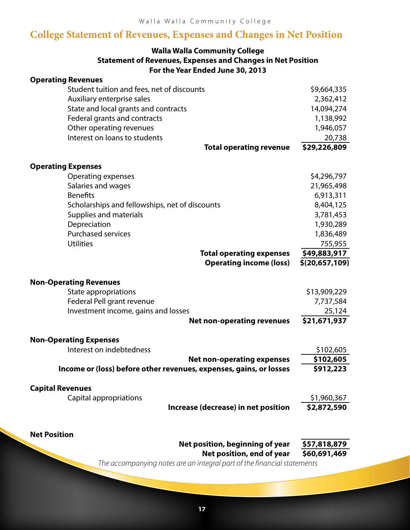### **College Statement of Revenues, Expenses and Changes in Net Position**

#### **Walla Walla Community College Statement of Revenues, Expenses and Changes in Net Position For the Year Ended June 30, 2013**

| <b>Operating Revenues</b>                                          |                                                  |
|--------------------------------------------------------------------|--------------------------------------------------|
| Student tuition and fees, net of discounts                         | \$9,664,335                                      |
| Auxiliary enterprise sales                                         | 2,362,412                                        |
| State and local grants and contracts                               | 14,094,274                                       |
| Federal grants and contracts                                       | 1,138,992                                        |
| Other operating revenues                                           | 1,946,057                                        |
| Interest on loans to students                                      | 20,738                                           |
| <b>Total operating revenue</b>                                     | \$29,226,809                                     |
| <b>Operating Expenses</b>                                          |                                                  |
| Operating expenses                                                 | \$4,296,797                                      |
| Salaries and wages                                                 | 21,965,498                                       |
| <b>Benefits</b>                                                    | 6,913,311                                        |
| Scholarships and fellowships, net of discounts                     | 8,404,125                                        |
| Supplies and materials                                             | 3,781,453                                        |
| Depreciation                                                       | 1,930,289                                        |
| <b>Purchased services</b>                                          | 1,836,489                                        |
| <b>Utilities</b>                                                   | 755,955                                          |
| <b>Total operating expenses</b>                                    | \$49,883,917                                     |
| <b>Operating income (loss)</b>                                     | \$(20,657,109)                                   |
| <b>Non-Operating Revenues</b>                                      |                                                  |
| State appropriations                                               | \$13,909,229                                     |
| Federal Pell grant revenue                                         | 7,737,584                                        |
| Investment income, gains and losses                                | 25,124                                           |
| <b>Net non-operating revenues</b>                                  | \$21,671,937                                     |
| <b>Non-Operating Expenses</b>                                      |                                                  |
| Interest on indebtedness                                           | \$102,605                                        |
| <b>Net non-operating expenses</b>                                  | \$102,605                                        |
| Income or (loss) before other revenues, expenses, gains, or losses | \$912,223                                        |
| <b>Capital Revenues</b>                                            |                                                  |
| Capital appropriations                                             | \$1,960,367                                      |
| Increase (decrease) in net position                                | \$2,872,590                                      |
|                                                                    |                                                  |
| <b>Net Position</b>                                                |                                                  |
| Net position, beginning of year                                    | \$57,818,879                                     |
| Net position, end of year                                          | \$60,691,469<br>aral part of the financial state |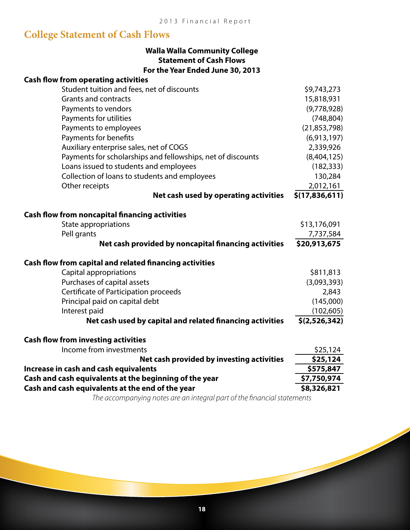## **College Statement of Cash Flows**

| <b>Walla Walla Community College</b> |
|--------------------------------------|
| <b>Statement of Cash Flows</b>       |
| For the Year Ended June 30, 2013     |

| <b>Cash flow from operating activities</b>                     |                |
|----------------------------------------------------------------|----------------|
| Student tuition and fees, net of discounts                     | \$9,743,273    |
| <b>Grants and contracts</b>                                    | 15,818,931     |
| Payments to vendors                                            | (9,778,928)    |
| Payments for utilities                                         | (748, 804)     |
| Payments to employees                                          | (21, 853, 798) |
| Payments for benefits                                          | (6,913,197)    |
| Auxiliary enterprise sales, net of COGS                        | 2,339,926      |
| Payments for scholarships and fellowships, net of discounts    | (8,404,125)    |
| Loans issued to students and employees                         | (182, 333)     |
| Collection of loans to students and employees                  | 130,284        |
| Other receipts                                                 | 2,012,161      |
| Net cash used by operating activities                          | \$(17,836,611) |
| <b>Cash flow from noncapital financing activities</b>          |                |
| <b>State appropriations</b>                                    | \$13,176,091   |
| Pell grants                                                    | 7,737,584      |
| Net cash provided by noncapital financing activities           | \$20,913,675   |
| <b>Cash flow from capital and related financing activities</b> |                |
| Capital appropriations                                         | \$811,813      |
| Purchases of capital assets                                    | (3,093,393)    |
| Certificate of Participation proceeds                          | 2,843          |
| Principal paid on capital debt                                 | (145,000)      |
| Interest paid                                                  | (102, 605)     |
| Net cash used by capital and related financing activities      | \$(2,526,342)  |
| <b>Cash flow from investing activities</b>                     |                |
| Income from investments                                        | \$25,124       |
| Net cash provided by investing activities                      | \$25,124       |
| Increase in cash and cash equivalents                          | \$575,847      |
| Cash and cash equivalents at the beginning of the year         | \$7,750,974    |
| Cash and cash equivalents at the end of the year               | \$8,326,821    |
|                                                                |                |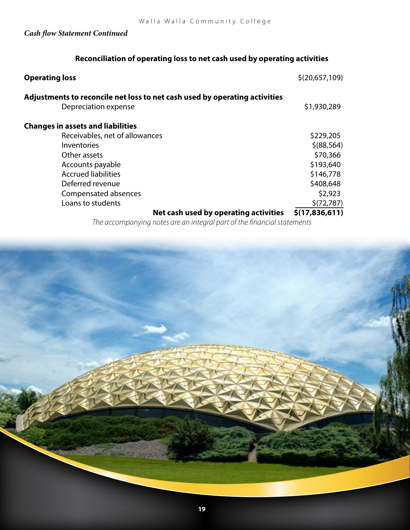#### *Cash flow Statement Continued*

#### **Reconciliation of operating loss to net cash used by operating activities**

| <b>Operating loss</b>                                                      | \$(20,657,109) |
|----------------------------------------------------------------------------|----------------|
| Adjustments to reconcile net loss to net cash used by operating activities |                |
| Depreciation expense                                                       | \$1,930,289    |
| <b>Changes in assets and liabilities</b>                                   |                |
| Receivables, net of allowances                                             | \$229,205      |
| <b>Inventories</b>                                                         | \$ (88, 564)   |
| Other assets                                                               | \$70,366       |
| Accounts payable                                                           | \$193,640      |
| <b>Accrued liabilities</b>                                                 | \$146,778      |
| Deferred revenue                                                           | \$408,648      |
| Compensated absences                                                       | \$2,923        |
| Loans to students                                                          | \$(72, 787)    |
| Net cash used by operating activities                                      | \$(17,836,611) |

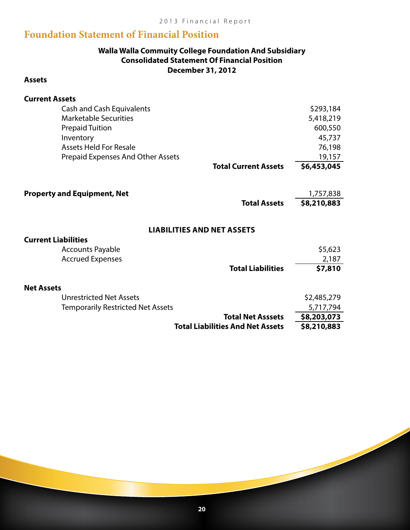### **Foundation Statement of Financial Position**

#### **Walla Walla Commuity College Foundation And Subsidiary Consolidated Statement Of Financial Position December 31, 2012**

#### **Assets**

| <b>Current Assets</b>                    |                                   |             |
|------------------------------------------|-----------------------------------|-------------|
| <b>Cash and Cash Equivalents</b>         |                                   | \$293,184   |
| <b>Marketable Securities</b>             |                                   | 5,418,219   |
| <b>Prepaid Tuition</b>                   |                                   | 600,550     |
| Inventory                                |                                   | 45,737      |
| <b>Assets Held For Resale</b>            |                                   | 76,198      |
| <b>Prepaid Expenses And Other Assets</b> |                                   | 19,157      |
|                                          | <b>Total Current Assets</b>       | \$6,453,045 |
|                                          |                                   |             |
| <b>Property and Equipment, Net</b>       |                                   | 1,757,838   |
|                                          | <b>Total Assets</b>               | \$8,210,883 |
|                                          |                                   |             |
|                                          | <b>LIABILITIES AND NET ASSETS</b> |             |
| <b>Current Liabilities</b>               |                                   |             |
| <b>Accounts Payable</b>                  |                                   | \$5,623     |
| <b>Accrued Expenses</b>                  |                                   | 2,187       |
|                                          | <b>Total Liabilities</b>          | \$7,810     |
| <b>Net Assets</b>                        |                                   |             |
| مغموم فملط الممغمنية ومعمرا              |                                   | CO AOE OTO  |

|                                          | <b>Total Net Asssets</b> | \$8,203,073 |
|------------------------------------------|--------------------------|-------------|
| <b>Temporarily Restricted Net Assets</b> |                          | 5,717,794   |
| <b>Unrestricted Net Assets</b>           |                          | \$2,485,279 |

**Total Liabilities And Net Assets \$8,210,883**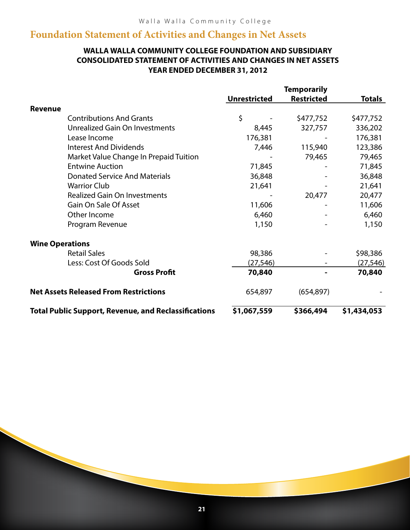### **Foundation Statement of Activities and Changes in Net Assets**

#### **WALLA WALLA COMMUNITY COLLEGE FOUNDATION AND SUBSIDIARY CONSOLIDATED STATEMENT OF ACTIVITIES AND CHANGES IN NET ASSETS YEAR ENDED DECEMBER 31, 2012**

|                        |                                                             | <b>Temporarily</b>  |                   |               |
|------------------------|-------------------------------------------------------------|---------------------|-------------------|---------------|
|                        |                                                             | <b>Unrestricted</b> | <b>Restricted</b> | <b>Totals</b> |
| <b>Revenue</b>         |                                                             |                     |                   |               |
|                        | <b>Contributions And Grants</b>                             | \$                  | \$477,752         | \$477,752     |
|                        | Unrealized Gain On Investments                              | 8,445               | 327,757           | 336,202       |
|                        | Lease Income                                                | 176,381             |                   | 176,381       |
|                        | <b>Interest And Dividends</b>                               | 7,446               | 115,940           | 123,386       |
|                        | Market Value Change In Prepaid Tuition                      |                     | 79,465            | 79,465        |
|                        | <b>Entwine Auction</b>                                      | 71,845              |                   | 71,845        |
|                        | <b>Donated Service And Materials</b>                        | 36,848              |                   | 36,848        |
|                        | <b>Warrior Club</b>                                         | 21,641              |                   | 21,641        |
|                        | <b>Realized Gain On Investments</b>                         |                     | 20,477            | 20,477        |
|                        | Gain On Sale Of Asset                                       | 11,606              |                   | 11,606        |
|                        | Other Income                                                | 6,460               |                   | 6,460         |
|                        | Program Revenue                                             | 1,150               |                   | 1,150         |
| <b>Wine Operations</b> |                                                             |                     |                   |               |
|                        | <b>Retail Sales</b>                                         | 98,386              |                   | \$98,386      |
|                        | Less: Cost Of Goods Sold                                    | (27, 546)           |                   | (27, 546)     |
|                        | <b>Gross Profit</b>                                         | 70,840              |                   | 70,840        |
|                        | <b>Net Assets Released From Restrictions</b>                | 654,897             | (654, 897)        |               |
|                        | <b>Total Public Support, Revenue, and Reclassifications</b> | \$1,067,559         | \$366,494         | \$1,434,053   |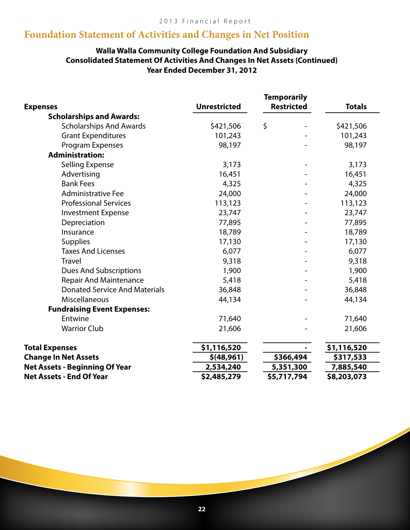### **Foundation Statement of Activities and Changes in Net Position**

#### **Walla Walla Community College Foundation And Subsidiary Consolidated Statement Of Activities And Changes In Net Assets (Continued) Year Ended December 31, 2012**

|                                       |                     | <b>Temporarily</b>       |               |
|---------------------------------------|---------------------|--------------------------|---------------|
| <b>Expenses</b>                       | <b>Unrestricted</b> | <b>Restricted</b>        | <b>Totals</b> |
| <b>Scholarships and Awards:</b>       |                     |                          |               |
| <b>Scholarships And Awards</b>        | \$421,506           | \$                       | \$421,506     |
| <b>Grant Expenditures</b>             | 101,243             |                          | 101,243       |
| Program Expenses                      | 98,197              |                          | 98,197        |
| <b>Administration:</b>                |                     |                          |               |
| <b>Selling Expense</b>                | 3,173               | $\overline{\phantom{a}}$ | 3,173         |
| Advertising                           | 16,451              |                          | 16,451        |
| <b>Bank Fees</b>                      | 4,325               |                          | 4,325         |
| <b>Administrative Fee</b>             | 24,000              |                          | 24,000        |
| <b>Professional Services</b>          | 113,123             |                          | 113,123       |
| <b>Investment Expense</b>             | 23,747              |                          | 23,747        |
| Depreciation                          | 77,895              |                          | 77,895        |
| Insurance                             | 18,789              |                          | 18,789        |
| <b>Supplies</b>                       | 17,130              |                          | 17,130        |
| <b>Taxes And Licenses</b>             | 6,077               |                          | 6,077         |
| <b>Travel</b>                         | 9,318               |                          | 9,318         |
| <b>Dues And Subscriptions</b>         | 1,900               |                          | 1,900         |
| <b>Repair And Maintenance</b>         | 5,418               |                          | 5,418         |
| <b>Donated Service And Materials</b>  | 36,848              |                          | 36,848        |
| Miscellaneous                         | 44,134              |                          | 44,134        |
| <b>Fundraising Event Expenses:</b>    |                     |                          |               |
| Entwine                               | 71,640              |                          | 71,640        |
| <b>Warrior Club</b>                   | 21,606              |                          | 21,606        |
| <b>Total Expenses</b>                 | \$1,116,520         |                          | \$1,116,520   |
| <b>Change In Net Assets</b>           | \$ (48, 961)        | \$366,494                | \$317,533     |
| <b>Net Assets - Beginning Of Year</b> | 2,534,240           | 5,351,300                | 7,885,540     |
| <b>Net Assets - End Of Year</b>       | \$2,485,279         | \$5,717,794              | \$8,203,073   |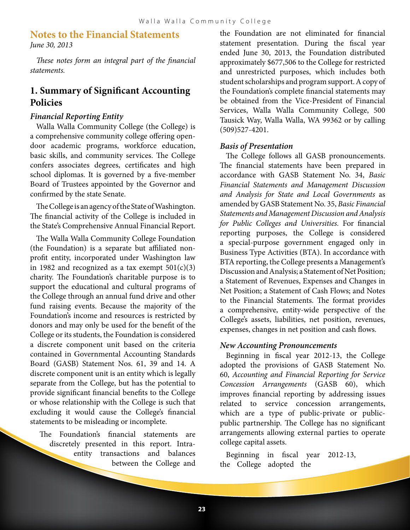#### **Notes to the Financial Statements** *June 30, 2013*

*These notes form an integral part of the financial statements.*

### **1. Summary of Significant Accounting Policies**

#### *Financial Reporting Entity*

Walla Walla Community College (the College) is a comprehensive community college offering opendoor academic programs, workforce education, basic skills, and community services. The College confers associates degrees, certificates and high school diplomas. It is governed by a five-member Board of Trustees appointed by the Governor and confirmed by the state Senate.

The College is an agency of the State of Washington. The financial activity of the College is included in the State's Comprehensive Annual Financial Report.

The Walla Walla Community College Foundation (the Foundation) is a separate but affiliated nonprofit entity, incorporated under Washington law in 1982 and recognized as a tax exempt  $501(c)(3)$ charity. The Foundation's charitable purpose is to support the educational and cultural programs of the College through an annual fund drive and other fund raising events. Because the majority of the Foundation's income and resources is restricted by donors and may only be used for the benefit of the College or its students, the Foundation is considered a discrete component unit based on the criteria contained in Governmental Accounting Standards Board (GASB) Statement Nos. 61, 39 and 14. A discrete component unit is an entity which is legally separate from the College, but has the potential to provide significant financial benefits to the College or whose relationship with the College is such that excluding it would cause the College's financial statements to be misleading or incomplete.

The Foundation's financial statements are discretely presented in this report. Intraentity transactions and balances between the College and

the Foundation are not eliminated for financial statement presentation. During the fiscal year ended June 30, 2013, the Foundation distributed approximately \$677,506 to the College for restricted and unrestricted purposes, which includes both student scholarships and program support. A copy of the Foundation's complete financial statements may be obtained from the Vice-President of Financial Services, Walla Walla Community College, 500 Tausick Way, Walla Walla, WA 99362 or by calling (509)527-4201.

#### *Basis of Presentation*

The College follows all GASB pronouncements. The financial statements have been prepared in accordance with GASB Statement No. 34, *Basic Financial Statements and Management Discussion and Analysis for State and Local Governments* as amended by GASB Statement No. 35, *Basic Financial Statements and Management Discussion and Analysis for Public Colleges and Universities.* For financial reporting purposes, the College is considered a special-purpose government engaged only in Business Type Activities (BTA). In accordance with BTA reporting, the College presents a Management's Discussion and Analysis; a Statement of Net Position; a Statement of Revenues, Expenses and Changes in Net Position; a Statement of Cash Flows; and Notes to the Financial Statements. The format provides a comprehensive, entity-wide perspective of the College's assets, liabilities, net position, revenues, expenses, changes in net position and cash flows.

#### *New Accounting Pronouncements*

Beginning in fiscal year 2012-13, the College adopted the provisions of GASB Statement No. 60, *Accounting and Financial Reporting for Service Concession Arrangements* (GASB 60), which improves financial reporting by addressing issues related to service concession arrangements, which are a type of public-private or publicpublic partnership. The College has no significant arrangements allowing external parties to operate college capital assets.

Beginning in fiscal year 2012-13, the College adopted the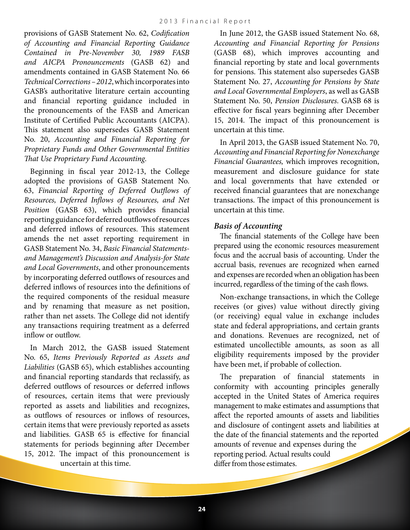provisions of GASB Statement No. 62, *Codification of Accounting and Financial Reporting Guidance Contained in Pre-November 30, 1989 FASB and AICPA Pronouncements* (GASB 62) and amendments contained in GASB Statement No. 66 *Technical Corrections – 2012*, which incorporates into GASB's authoritative literature certain accounting and financial reporting guidance included in the pronouncements of the FASB and American Institute of Certified Public Accountants (AICPA). This statement also supersedes GASB Statement No. 20, *Accounting and Financial Reporting for Proprietary Funds and Other Governmental Entities That Use Proprietary Fund Accounting*.

Beginning in fiscal year 2012-13, the College adopted the provisions of GASB Statement No. 63, *Financial Reporting of Deferred Outflows of Resources, Deferred Inflows of Resources, and Net Position* (GASB 63), which provides financial reporting guidance for deferred outflows of resources and deferred inflows of resources. This statement amends the net asset reporting requirement in GASB Statement No. 34, *Basic Financial Statementsand Management's Discussion and Analysis-for State and Local Governments*, and other pronouncements by incorporating deferred outflows of resources and deferred inflows of resources into the definitions of the required components of the residual measure and by renaming that measure as net position, rather than net assets. The College did not identify any transactions requiring treatment as a deferred inflow or outflow.

In March 2012, the GASB issued Statement No. 65, *Items Previously Reported as Assets and Liabilities* (GASB 65), which establishes accounting and financial reporting standards that reclassify, as deferred outflows of resources or deferred inflows of resources, certain items that were previously reported as assets and liabilities and recognizes, as outflows of resources or inflows of resources, certain items that were previously reported as assets and liabilities. GASB 65 is effective for financial statements for periods beginning after December 15, 2012. The impact of this pronouncement is uncertain at this time.

In June 2012, the GASB issued Statement No. 68, *Accounting and Financial Reporting for Pensions*  (GASB 68), which improves accounting and financial reporting by state and local governments for pensions. This statement also supersedes GASB Statement No. 27, *Accounting for Pensions by State and Local Governmental Employers*, as well as GASB Statement No. 50, *Pension Disclosures*. GASB 68 is effective for fiscal years beginning after December 15, 2014. The impact of this pronouncement is uncertain at this time.

In April 2013, the GASB issued Statement No. 70, *Accounting and Financial Reporting for Nonexchange Financial Guarantees,* which improves recognition, measurement and disclosure guidance for state and local governments that have extended or received financial guarantees that are nonexchange transactions. The impact of this pronouncement is uncertain at this time.

#### *Basis of Accounting*

The financial statements of the College have been prepared using the economic resources measurement focus and the accrual basis of accounting. Under the accrual basis, revenues are recognized when earned and expenses are recorded when an obligation has been incurred, regardless of the timing of the cash flows.

Non-exchange transactions, in which the College receives (or gives) value without directly giving (or receiving) equal value in exchange includes state and federal appropriations, and certain grants and donations. Revenues are recognized, net of estimated uncollectible amounts, as soon as all eligibility requirements imposed by the provider have been met, if probable of collection.

The preparation of financial statements in conformity with accounting principles generally accepted in the United States of America requires management to make estimates and assumptions that affect the reported amounts of assets and liabilities and disclosure of contingent assets and liabilities at the date of the financial statements and the reported amounts of revenue and expenses during the reporting period. Actual results could differ from those estimates.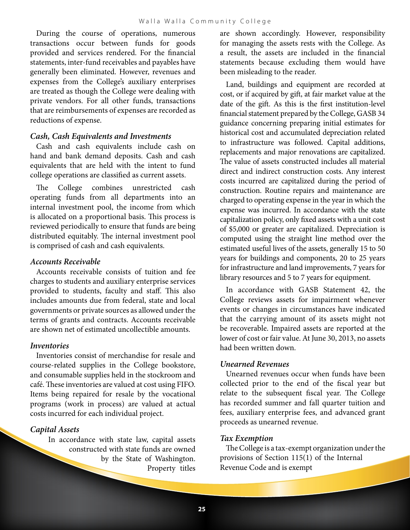During the course of operations, numerous transactions occur between funds for goods provided and services rendered. For the financial statements, inter-fund receivables and payables have generally been eliminated. However, revenues and expenses from the College's auxiliary enterprises are treated as though the College were dealing with private vendors. For all other funds, transactions that are reimbursements of expenses are recorded as reductions of expense.

#### *Cash, Cash Equivalents and Investments*

Cash and cash equivalents include cash on hand and bank demand deposits. Cash and cash equivalents that are held with the intent to fund college operations are classified as current assets.

The College combines unrestricted cash operating funds from all departments into an internal investment pool, the income from which is allocated on a proportional basis. This process is reviewed periodically to ensure that funds are being distributed equitably. The internal investment pool is comprised of cash and cash equivalents.

#### *Accounts Receivable*

Accounts receivable consists of tuition and fee charges to students and auxiliary enterprise services provided to students, faculty and staff. This also includes amounts due from federal, state and local governments or private sources as allowed under the terms of grants and contracts. Accounts receivable are shown net of estimated uncollectible amounts.

#### *Inventories*

Inventories consist of merchandise for resale and course-related supplies in the College bookstore, and consumable supplies held in the stockroom and café. These inventories are valued at cost using FIFO. Items being repaired for resale by the vocational programs (work in process) are valued at actual costs incurred for each individual project.

#### *Capital Assets*

In accordance with state law, capital assets constructed with state funds are owned by the State of Washington. Property titles are shown accordingly. However, responsibility for managing the assets rests with the College. As a result, the assets are included in the financial statements because excluding them would have been misleading to the reader.

Land, buildings and equipment are recorded at cost, or if acquired by gift, at fair market value at the date of the gift. As this is the first institution-level financial statement prepared by the College, GASB 34 guidance concerning preparing initial estimates for historical cost and accumulated depreciation related to infrastructure was followed. Capital additions, replacements and major renovations are capitalized. The value of assets constructed includes all material direct and indirect construction costs. Any interest costs incurred are capitalized during the period of construction. Routine repairs and maintenance are charged to operating expense in the year in which the expense was incurred. In accordance with the state capitalization policy, only fixed assets with a unit cost of \$5,000 or greater are capitalized. Depreciation is computed using the straight line method over the estimated useful lives of the assets, generally 15 to 50 years for buildings and components, 20 to 25 years for infrastructure and land improvements, 7 years for library resources and 5 to 7 years for equipment.

In accordance with GASB Statement 42, the College reviews assets for impairment whenever events or changes in circumstances have indicated that the carrying amount of its assets might not be recoverable. Impaired assets are reported at the lower of cost or fair value. At June 30, 2013, no assets had been written down.

#### *Unearned Revenues*

Unearned revenues occur when funds have been collected prior to the end of the fiscal year but relate to the subsequent fiscal year. The College has recorded summer and fall quarter tuition and fees, auxiliary enterprise fees, and advanced grant proceeds as unearned revenue.

#### *Tax Exemption*

The College is a tax-exempt organization under the provisions of Section 115(1) of the Internal Revenue Code and is exempt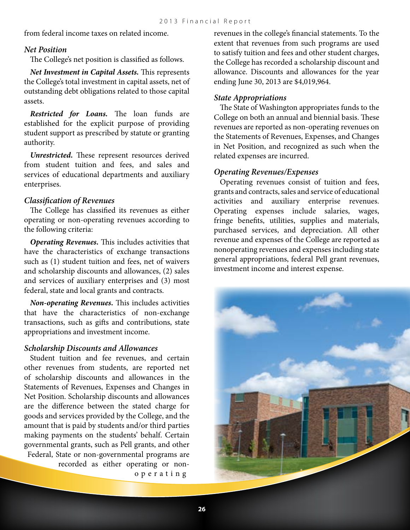from federal income taxes on related income.

#### *Net Position*

The College's net position is classified as follows.

*Net Investment in Capital Assets.* This represents the College's total investment in capital assets, net of outstanding debt obligations related to those capital assets.

*Restricted for Loans.* The loan funds are established for the explicit purpose of providing student support as prescribed by statute or granting authority.

*Unrestricted.* These represent resources derived from student tuition and fees, and sales and services of educational departments and auxiliary enterprises.

#### *Classification of Revenues*

The College has classified its revenues as either operating or non-operating revenues according to the following criteria:

*Operating Revenues***.** This includes activities that have the characteristics of exchange transactions such as (1) student tuition and fees, net of waivers and scholarship discounts and allowances, (2) sales and services of auxiliary enterprises and (3) most federal, state and local grants and contracts.

*Non-operating Revenues***.** This includes activities that have the characteristics of non-exchange transactions, such as gifts and contributions, state appropriations and investment income.

#### *Scholarship Discounts and Allowances*

Student tuition and fee revenues, and certain other revenues from students, are reported net of scholarship discounts and allowances in the Statements of Revenues, Expenses and Changes in Net Position. Scholarship discounts and allowances are the difference between the stated charge for goods and services provided by the College, and the amount that is paid by students and/or third parties making payments on the students' behalf. Certain governmental grants, such as Pell grants, and other Federal, State or non-governmental programs are recorded as either operating or nono p e r a t i n g

revenues in the college's financial statements. To the extent that revenues from such programs are used to satisfy tuition and fees and other student charges, the College has recorded a scholarship discount and allowance. Discounts and allowances for the year ending June 30, 2013 are \$4,019,964.

#### *State Appropriations*

The State of Washington appropriates funds to the College on both an annual and biennial basis. These revenues are reported as non-operating revenues on the Statements of Revenues, Expenses, and Changes in Net Position, and recognized as such when the related expenses are incurred.

#### *Operating Revenues/Expenses*

Operating revenues consist of tuition and fees, grants and contracts, sales and service of educational activities and auxiliary enterprise revenues. Operating expenses include salaries, wages, fringe benefits, utilities, supplies and materials, purchased services, and depreciation. All other revenue and expenses of the College are reported as nonoperating revenues and expenses including state general appropriations, federal Pell grant revenues, investment income and interest expense.

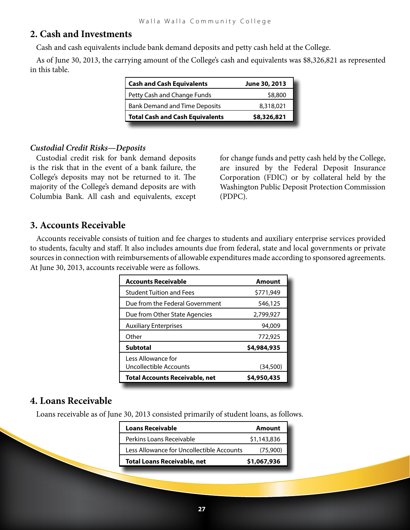### **2. Cash and Investments**

Cash and cash equivalents include bank demand deposits and petty cash held at the College.

As of June 30, 2013, the carrying amount of the College's cash and equivalents was \$8,326,821 as represented in this table.

| <b>Cash and Cash Equivalents</b>                  | June 30, 2013 |
|---------------------------------------------------|---------------|
| Petty Cash and Change Funds                       | \$8,800       |
| <b>Bank Demand and Time Deposits</b><br>8,318,021 |               |
| <b>Total Cash and Cash Equivalents</b>            | \$8,326,821   |

#### *Custodial Credit Risks—Deposits*

Custodial credit risk for bank demand deposits is the risk that in the event of a bank failure, the College's deposits may not be returned to it. The majority of the College's demand deposits are with Columbia Bank. All cash and equivalents, except for change funds and petty cash held by the College, are insured by the Federal Deposit Insurance Corporation (FDIC) or by collateral held by the Washington Public Deposit Protection Commission (PDPC).

#### **3. Accounts Receivable**

Accounts receivable consists of tuition and fee charges to students and auxiliary enterprise services provided to students, faculty and staff. It also includes amounts due from federal, state and local governments or private sources in connection with reimbursements of allowable expenditures made according to sponsored agreements. At June 30, 2013, accounts receivable were as follows.

| <b>Accounts Receivable</b>            | Amount      |
|---------------------------------------|-------------|
| <b>Student Tuition and Fees</b>       | \$771,949   |
| Due from the Federal Government       | 546,125     |
| Due from Other State Agencies         | 2,799,927   |
| <b>Auxiliary Enterprises</b>          | 94,009      |
| Other                                 | 772,925     |
| <b>Subtotal</b>                       | \$4,984,935 |
| Less Allowance for                    |             |
| Uncollectible Accounts                | (34,500)    |
| <b>Total Accounts Receivable, net</b> | \$4,950,435 |

#### **4. Loans Receivable**

Loans receivable as of June 30, 2013 consisted primarily of student loans, as follows.

| <b>Loans Receivable</b>                   | Amount      |
|-------------------------------------------|-------------|
| Perkins Loans Receivable                  | \$1,143,836 |
| Less Allowance for Uncollectible Accounts | (75,900)    |
| <b>Total Loans Receivable, net</b>        | \$1,067,936 |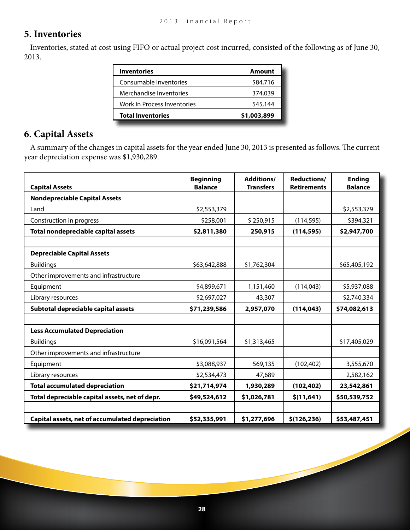### **5. Inventories**

Inventories, stated at cost using FIFO or actual project cost incurred, consisted of the following as of June 30, 2013.

| <b>Inventories</b>          | Amount      |
|-----------------------------|-------------|
| Consumable Inventories      | \$84,716    |
| Merchandise Inventories     | 374,039     |
| Work In Process Inventories | 545,144     |
| <b>Total Inventories</b>    | \$1,003,899 |

### **6. Capital Assets**

A summary of the changes in capital assets for the year ended June 30, 2013 is presented as follows. The current year depreciation expense was \$1,930,289.

| <b>Capital Assets</b>                           | <b>Beginning</b><br><b>Balance</b> | <b>Additions/</b><br><b>Transfers</b> | Reductions/<br><b>Retirements</b> | <b>Ending</b><br><b>Balance</b> |
|-------------------------------------------------|------------------------------------|---------------------------------------|-----------------------------------|---------------------------------|
| <b>Nondepreciable Capital Assets</b>            |                                    |                                       |                                   |                                 |
| Land                                            | \$2,553,379                        |                                       |                                   | \$2,553,379                     |
| Construction in progress                        | \$258,001                          | \$250,915                             | (114, 595)                        | \$394,321                       |
| Total nondepreciable capital assets             | \$2,811,380                        | 250,915                               | (114, 595)                        | \$2,947,700                     |
|                                                 |                                    |                                       |                                   |                                 |
| <b>Depreciable Capital Assets</b>               |                                    |                                       |                                   |                                 |
| <b>Buildings</b>                                | \$63,642,888                       | \$1,762,304                           |                                   | \$65,405,192                    |
| Other improvements and infrastructure           |                                    |                                       |                                   |                                 |
| Equipment                                       | \$4,899,671                        | 1,151,460                             | (114, 043)                        | \$5,937,088                     |
| Library resources                               | \$2,697,027                        | 43,307                                |                                   | \$2,740,334                     |
| Subtotal depreciable capital assets             | \$71,239,586                       | 2,957,070                             | (114, 043)                        | \$74,082,613                    |
|                                                 |                                    |                                       |                                   |                                 |
| <b>Less Accumulated Depreciation</b>            |                                    |                                       |                                   |                                 |
| <b>Buildings</b>                                | \$16,091,564                       | \$1,313,465                           |                                   | \$17,405,029                    |
| Other improvements and infrastructure           |                                    |                                       |                                   |                                 |
| Equipment                                       | \$3,088,937                        | 569,135                               | (102, 402)                        | 3,555,670                       |
| Library resources                               | \$2,534,473                        | 47,689                                |                                   | 2,582,162                       |
| <b>Total accumulated depreciation</b>           | \$21,714,974                       | 1,930,289                             | (102, 402)                        | 23,542,861                      |
| Total depreciable capital assets, net of depr.  | \$49,524,612                       | \$1,026,781                           | \$(11,641)                        | \$50,539,752                    |
|                                                 |                                    |                                       |                                   |                                 |
| Capital assets, net of accumulated depreciation | \$52,335,991                       | \$1,277,696                           | \$(126, 236)                      | \$53,487,451                    |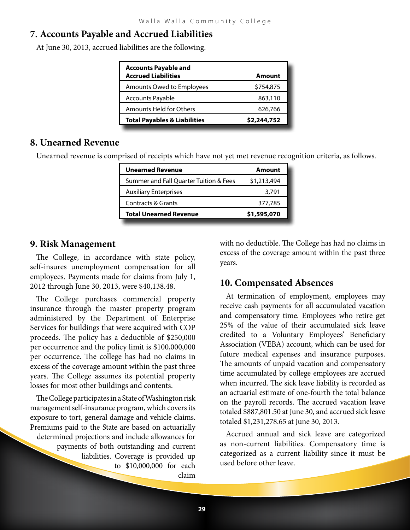### **7. Accounts Payable and Accrued Liabilities**

At June 30, 2013, accrued liabilities are the following.

| <b>Accounts Payable and</b><br><b>Accrued Liabilities</b> | <b>Amount</b> |
|-----------------------------------------------------------|---------------|
| Amounts Owed to Employees                                 | \$754,875     |
| Accounts Payable                                          | 863,110       |
| Amounts Held for Others                                   | 626,766       |
| <b>Total Payables &amp; Liabilities</b>                   | \$2,244,752   |

#### **8. Unearned Revenue**

Unearned revenue is comprised of receipts which have not yet met revenue recognition criteria, as follows.

| <b>Unearned Revenue</b>                | Amount      |
|----------------------------------------|-------------|
| Summer and Fall Quarter Tuition & Fees | \$1,213,494 |
| <b>Auxiliary Enterprises</b>           | 3,791       |
| <b>Contracts &amp; Grants</b>          | 377,785     |
| <b>Total Unearned Revenue</b>          | \$1,595,070 |

### **9. Risk Management**

The College, in accordance with state policy, self-insures unemployment compensation for all employees. Payments made for claims from July 1, 2012 through June 30, 2013, were \$40,138.48.

The College purchases commercial property insurance through the master property program administered by the Department of Enterprise Services for buildings that were acquired with COP proceeds. The policy has a deductible of \$250,000 per occurrence and the policy limit is \$100,000,000 per occurrence. The college has had no claims in excess of the coverage amount within the past three years. The College assumes its potential property losses for most other buildings and contents.

The College participates in a State of Washington risk management self-insurance program, which covers its exposure to tort, general damage and vehicle claims. Premiums paid to the State are based on actuarially determined projections and include allowances for payments of both outstanding and current liabilities. Coverage is provided up to \$10,000,000 for each claim

with no deductible. The College has had no claims in excess of the coverage amount within the past three years.

### **10. Compensated Absences**

At termination of employment, employees may receive cash payments for all accumulated vacation and compensatory time. Employees who retire get 25% of the value of their accumulated sick leave credited to a Voluntary Employees' Beneficiary Association (VEBA) account, which can be used for future medical expenses and insurance purposes. The amounts of unpaid vacation and compensatory time accumulated by college employees are accrued when incurred. The sick leave liability is recorded as an actuarial estimate of one-fourth the total balance on the payroll records. The accrued vacation leave totaled \$887,801.50 at June 30, and accrued sick leave totaled \$1,231,278.65 at June 30, 2013.

Accrued annual and sick leave are categorized as non-current liabilities. Compensatory time is categorized as a current liability since it must be used before other leave.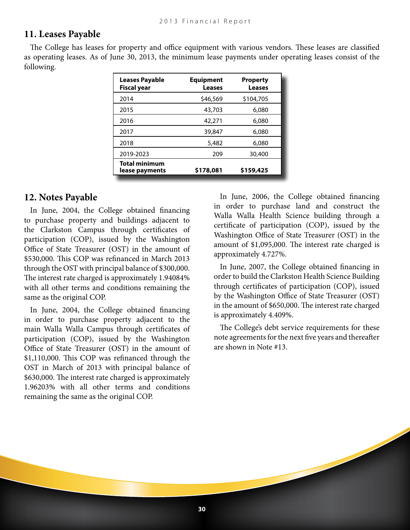#### **11. Leases Payable**

The College has leases for property and office equipment with various vendors. These leases are classified as operating leases. As of June 30, 2013, the minimum lease payments under operating leases consist of the following.

| <b>Leases Payable</b><br><b>Fiscal year</b> | <b>Equipment</b><br><b>Leases</b> | <b>Property</b><br><b>Leases</b> |
|---------------------------------------------|-----------------------------------|----------------------------------|
| 2014                                        | \$46,569                          | \$104,705                        |
| 2015                                        | 43,703                            | 6,080                            |
| 2016                                        | 42,271                            | 6,080                            |
| 2017                                        | 39,847                            | 6,080                            |
| 2018                                        | 5,482                             | 6,080                            |
| 2019-2023                                   | 209                               | 30,400                           |
| <b>Total minimum</b><br>lease payments      | \$178,081                         | \$159,425                        |

#### **12. Notes Payable**

In June, 2004, the College obtained financing to purchase property and buildings adjacent to the Clarkston Campus through certificates of participation (COP), issued by the Washington Office of State Treasurer (OST) in the amount of \$530,000. This COP was refinanced in March 2013 through the OST with principal balance of \$300,000. The interest rate charged is approximately 1.94084% with all other terms and conditions remaining the same as the original COP.

In June, 2004, the College obtained financing in order to purchase property adjacent to the main Walla Walla Campus through certificates of participation (COP), issued by the Washington Office of State Treasurer (OST) in the amount of \$1,110,000. This COP was refinanced through the OST in March of 2013 with principal balance of \$630,000. The interest rate charged is approximately 1.96203% with all other terms and conditions remaining the same as the original COP.

In June, 2006, the College obtained financing in order to purchase land and construct the Walla Walla Health Science building through a certificate of participation (COP), issued by the Washington Office of State Treasurer (OST) in the amount of \$1,095,000. The interest rate charged is approximately 4.727%.

In June, 2007, the College obtained financing in order to build the Clarkston Health Science Building through certificates of participation (COP), issued by the Washington Office of State Treasurer (OST) in the amount of \$650,000. The interest rate charged is approximately 4.409%.

The College's debt service requirements for these note agreements for the next five years and thereafter are shown in Note #13.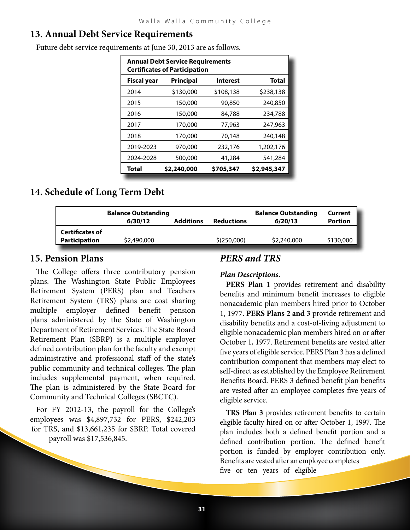### **13. Annual Debt Service Requirements**

Future debt service requirements at June 30, 2013 are as follows.

| <b>Annual Debt Service Requirements</b><br><b>Certificates of Participation</b> |             |                 |              |  |  |
|---------------------------------------------------------------------------------|-------------|-----------------|--------------|--|--|
| <b>Fiscal year</b>                                                              | Principal   | <b>Interest</b> | <b>Total</b> |  |  |
| 2014                                                                            | \$130,000   | \$108,138       | \$238,138    |  |  |
| 2015                                                                            | 150,000     | 90,850          | 240,850      |  |  |
| 2016                                                                            | 150,000     | 84,788          | 234,788      |  |  |
| 2017                                                                            | 170,000     | 77,963          | 247,963      |  |  |
| 2018                                                                            | 170,000     | 70.148          | 240,148      |  |  |
| 2019-2023                                                                       | 970,000     | 232,176         | 1,202,176    |  |  |
| 2024-2028                                                                       | 500,000     | 41,284          | 541,284      |  |  |
| Total                                                                           | \$2,240,000 | \$705,347       | \$2,945,347  |  |  |

### **14. Schedule of Long Term Debt**

|                        | <b>Balance Outstanding</b><br><b>Additions</b><br>6/30/12<br><b>Reductions</b> |  |             | <b>Balance Outstanding</b><br>6/20/13 | Current<br><b>Portion</b> |
|------------------------|--------------------------------------------------------------------------------|--|-------------|---------------------------------------|---------------------------|
| <b>Certificates of</b> |                                                                                |  |             |                                       |                           |
| Participation          | \$2,490,000                                                                    |  | \$(250,000) | \$2,240,000                           | \$130,000                 |

### **15. Pension Plans**

The College offers three contributory pension plans. The Washington State Public Employees Retirement System (PERS) plan and Teachers Retirement System (TRS) plans are cost sharing multiple employer defined benefit pension plans administered by the State of Washington Department of Retirement Services. The State Board Retirement Plan (SBRP) is a multiple employer defined contribution plan for the faculty and exempt administrative and professional staff of the state's public community and technical colleges. The plan includes supplemental payment, when required. The plan is administered by the State Board for Community and Technical Colleges (SBCTC).

For FY 2012-13, the payroll for the College's employees was \$4,897,732 for PERS, \$242,203 for TRS, and \$13,661,235 for SBRP. Total covered payroll was \$17,536,845.

### *PERS and TRS*

#### *Plan Descriptions.*

**PERS Plan 1** provides retirement and disability benefits and minimum benefit increases to eligible nonacademic plan members hired prior to October 1, 1977. **PERS Plans 2 and 3** provide retirement and disability benefits and a cost-of-living adjustment to eligible nonacademic plan members hired on or after October 1, 1977. Retirement benefits are vested after five years of eligible service. PERS Plan 3 has a defined contribution component that members may elect to self-direct as established by the Employee Retirement Benefits Board. PERS 3 defined benefit plan benefits are vested after an employee completes five years of eligible service.

**TRS Plan 3** provides retirement benefits to certain eligible faculty hired on or after October 1, 1997. The plan includes both a defined benefit portion and a defined contribution portion. The defined benefit portion is funded by employer contribution only. Benefits are vested after an employee completes five or ten years of eligible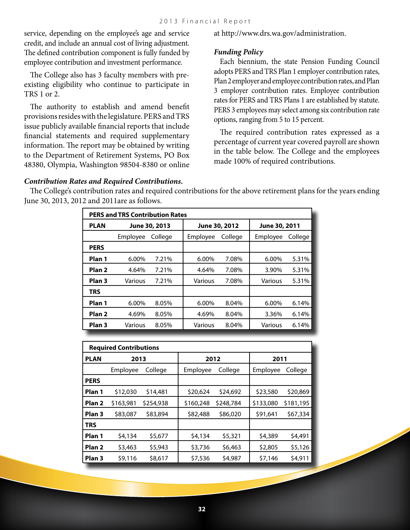service, depending on the employee's age and service credit, and include an annual cost of living adjustment. The defined contribution component is fully funded by employee contribution and investment performance.

The College also has 3 faculty members with preexisting eligibility who continue to participate in TRS 1 or 2.

The authority to establish and amend benefit provisions resides with the legislature. PERS and TRS issue publicly available financial reports that include financial statements and required supplementary information. The report may be obtained by writing to the Department of Retirement Systems, PO Box 48380, Olympia, Washington 98504-8380 or online

at <http://www.drs.wa.gov/administration>.

#### *Funding Policy*

Each biennium, the state Pension Funding Council adopts PERS and TRS Plan 1 employer contribution rates, Plan 2 employer and employee contribution rates, and Plan 3 employer contribution rates. Employee contribution rates for PERS and TRS Plans 1 are established by statute. PERS 3 employees may select among six contribution rate options, ranging from 5 to 15 percent.

The required contribution rates expressed as a percentage of current year covered payroll are shown in the table below. The College and the employees made 100% of required contributions.

#### *Contribution Rates and Required Contributions.*

The College's contribution rates and required contributions for the above retirement plans for the years ending June 30, 2013, 2012 and 2011are as follows.

| <b>PERS and TRS Contribution Rates</b> |               |         |               |         |               |         |
|----------------------------------------|---------------|---------|---------------|---------|---------------|---------|
| <b>PLAN</b>                            | June 30, 2013 |         | June 30, 2012 |         | June 30, 2011 |         |
|                                        | Employee      | College | Employee      | College | Employee      | College |
| <b>PERS</b>                            |               |         |               |         |               |         |
| Plan 1                                 | $6.00\%$      | 7.21%   | $6.00\%$      | 7.08%   | $6.00\%$      | 5.31%   |
| Plan <sub>2</sub>                      | 4.64%         | 7.21%   | 4.64%         | 7.08%   | 3.90%         | 5.31%   |
| Plan <sub>3</sub>                      | Various       | 7.21%   | Various       | 7.08%   | Various       | 5.31%   |
| <b>TRS</b>                             |               |         |               |         |               |         |
| Plan 1                                 | $6.00\%$      | 8.05%   | $6.00\%$      | 8.04%   | $6.00\%$      | 6.14%   |
| Plan <sub>2</sub>                      | 4.69%         | 8.05%   | 4.69%         | 8.04%   | 3.36%         | 6.14%   |
| Plan <sub>3</sub>                      | Various       | 8.05%   | Various       | 8.04%   | Various       | 6.14%   |

| <b>Required Contributions</b> |           |           |           |           |           |           |
|-------------------------------|-----------|-----------|-----------|-----------|-----------|-----------|
| <b>PLAN</b>                   | 2013      |           | 2012      |           | 2011      |           |
|                               | Employee  | College   | Employee  | College   | Employee  | College   |
| <b>PERS</b>                   |           |           |           |           |           |           |
| Plan 1                        | \$12,030  | \$14,481  | \$20,624  | \$24,692  | \$23,580  | \$20,869  |
| Plan <sub>2</sub>             | \$163,981 | \$254,938 | \$160,248 | \$248,784 | \$133,080 | \$181,195 |
| Plan <sub>3</sub>             | \$83,087  | \$83,894  | \$82,488  | \$86,020  | \$91,641  | \$67,334  |
| <b>TRS</b>                    |           |           |           |           |           |           |
| Plan 1                        | \$4,134   | \$5,677   | \$4,134   | \$5,321   | \$4,389   | \$4,491   |
| Plan <sub>2</sub>             | \$3,463   | \$5,943   | \$3,736   | \$6,463   | \$2,805   | \$5,126   |
| Plan <sub>3</sub>             | \$9,116   | \$8,617   | \$7,536   | \$4,987   | \$7,146   | \$4,911   |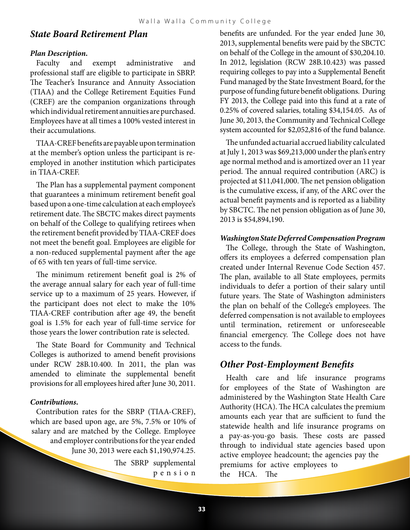### *State Board Retirement Plan*

#### *Plan Description.*

Faculty and exempt administrative and professional staff are eligible to participate in SBRP. The Teacher's Insurance and Annuity Association (TIAA) and the College Retirement Equities Fund (CREF) are the companion organizations through which individual retirement annuities are purchased. Employees have at all times a 100% vested interest in their accumulations.

TIAA-CREF benefits are payable upon termination at the member's option unless the participant is reemployed in another institution which participates in TIAA-CREF.

The Plan has a supplemental payment component that guarantees a minimum retirement benefit goal based upon a one-time calculation at each employee's retirement date. The SBCTC makes direct payments on behalf of the College to qualifying retirees when the retirement benefit provided by TIAA-CREF does not meet the benefit goal. Employees are eligible for a non-reduced supplemental payment after the age of 65 with ten years of full-time service.

The minimum retirement benefit goal is 2% of the average annual salary for each year of full-time service up to a maximum of 25 years. However, if the participant does not elect to make the 10% TIAA-CREF contribution after age 49, the benefit goal is 1.5% for each year of full-time service for those years the lower contribution rate is selected.

The State Board for Community and Technical Colleges is authorized to amend benefit provisions under RCW 28B.10.400. In 2011, the plan was amended to eliminate the supplemental benefit provisions for all employees hired after June 30, 2011.

#### *Contributions.*

Contribution rates for the SBRP (TIAA-CREF), which are based upon age, are 5%, 7.5% or 10% of salary and are matched by the College. Employee and employer contributions for the year ended June 30, 2013 were each \$1,190,974.25.

> The SBRP supplemental p e n s i o n

benefits are unfunded. For the year ended June 30, 2013, supplemental benefits were paid by the SBCTC on behalf of the College in the amount of \$30,204.10. In 2012, legislation (RCW 28B.10.423) was passed requiring colleges to pay into a Supplemental Benefit Fund managed by the State Investment Board, for the purpose of funding future benefit obligations. During FY 2013, the College paid into this fund at a rate of 0.25% of covered salaries, totaling \$34,154.05. As of June 30, 2013, the Community and Technical College system accounted for \$2,052,816 of the fund balance.

The unfunded actuarial accrued liability calculated at July 1, 2013 was \$69,213,000 under the plan's entry age normal method and is amortized over an 11 year period. The annual required contribution (ARC) is projected at \$11,041,000. The net pension obligation is the cumulative excess, if any, of the ARC over the actual benefit payments and is reported as a liability by SBCTC. The net pension obligation as of June 30, 2013 is \$54,894,190.

#### *Washington State Deferred Compensation Program*

The College, through the State of Washington, offers its employees a deferred compensation plan created under Internal Revenue Code Section 457. The plan, available to all State employees, permits individuals to defer a portion of their salary until future years. The State of Washington administers the plan on behalf of the College's employees. The deferred compensation is not available to employees until termination, retirement or unforeseeable financial emergency. The College does not have access to the funds.

#### *Other Post-Employment Benefits*

Health care and life insurance programs for employees of the State of Washington are administered by the Washington State Health Care Authority (HCA). The HCA calculates the premium amounts each year that are sufficient to fund the statewide health and life insurance programs on a pay-as-you-go basis. These costs are passed through to individual state agencies based upon active employee headcount; the agencies pay the premiums for active employees to the HCA. The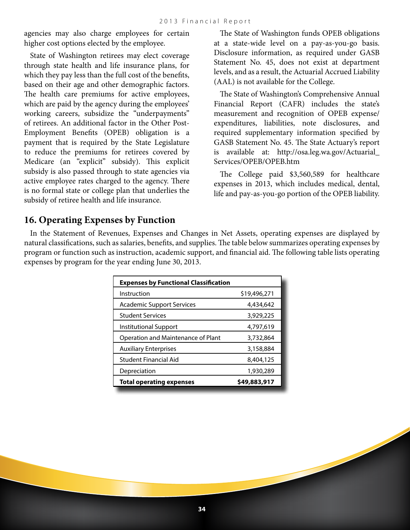agencies may also charge employees for certain higher cost options elected by the employee.

State of Washington retirees may elect coverage through state health and life insurance plans, for which they pay less than the full cost of the benefits, based on their age and other demographic factors. The health care premiums for active employees, which are paid by the agency during the employees' working careers, subsidize the "underpayments" of retirees. An additional factor in the Other Post-Employment Benefits (OPEB) obligation is a payment that is required by the State Legislature to reduce the premiums for retirees covered by Medicare (an "explicit" subsidy). This explicit subsidy is also passed through to state agencies via active employee rates charged to the agency. There is no formal state or college plan that underlies the subsidy of retiree health and life insurance.

The State of Washington funds OPEB obligations at a state-wide level on a pay-as-you-go basis. Disclosure information, as required under GASB Statement No. 45, does not exist at department levels, and as a result, the Actuarial Accrued Liability (AAL) is not available for the College.

The State of Washington's Comprehensive Annual Financial Report (CAFR) includes the state's measurement and recognition of OPEB expense/ expenditures, liabilities, note disclosures, and required supplementary information specified by GASB Statement No. 45. The State Actuary's report is available at: [http://osa.leg.wa.gov/Actuarial\\_](http://osa.leg.wa.gov/Actuarial_Services/OPEB/OPEB.htm) [Services/OPEB/OPEB.htm](http://osa.leg.wa.gov/Actuarial_Services/OPEB/OPEB.htm)

The College paid \$3,560,589 for healthcare expenses in 2013, which includes medical, dental, life and pay-as-you-go portion of the OPEB liability.

### **16. Operating Expenses by Function**

In the Statement of Revenues, Expenses and Changes in Net Assets, operating expenses are displayed by natural classifications, such as salaries, benefits, and supplies. The table below summarizes operating expenses by program or function such as instruction, academic support, and financial aid. The following table lists operating expenses by program for the year ending June 30, 2013.

| <b>Expenses by Functional Classification</b> |              |  |  |  |
|----------------------------------------------|--------------|--|--|--|
| Instruction                                  | \$19,496,271 |  |  |  |
| Academic Support Services                    | 4,434,642    |  |  |  |
| <b>Student Services</b>                      | 3,929,225    |  |  |  |
| Institutional Support                        | 4,797,619    |  |  |  |
| Operation and Maintenance of Plant           | 3,732,864    |  |  |  |
| <b>Auxiliary Enterprises</b>                 | 3,158,884    |  |  |  |
| Student Financial Aid                        | 8,404,125    |  |  |  |
| Depreciation                                 | 1,930,289    |  |  |  |
| <b>Total operating expenses</b>              | \$49,883,917 |  |  |  |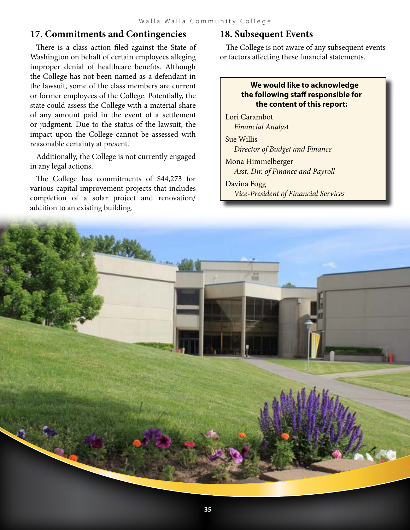### **17. Commitments and Contingencies**

There is a class action filed against the State of Washington on behalf of certain employees alleging improper denial of healthcare benefits. Although the College has not been named as a defendant in the lawsuit, some of the class members are current or former employees of the College. Potentially, the state could assess the College with a material share of any amount paid in the event of a settlement or judgment. Due to the status of the lawsuit, the impact upon the College cannot be assessed with reasonable certainty at present.

Additionally, the College is not currently engaged in any legal actions.

The College has commitments of \$44,273 for various capital improvement projects that includes completion of a solar project and renovation/ addition to an existing building.

### **18. Subsequent Events**

The College is not aware of any subsequent events or factors affecting these financial statements.

#### **We would like to acknowledge the following staff responsible for the content of this report:**

Lori Carambot *Financial Analys*t

Sue Willis *Director of Budget and Finance*

Mona Himmelberger *Asst. Dir. of Finance and Payroll*

Davina Fogg *Vice-President of Financial Services*